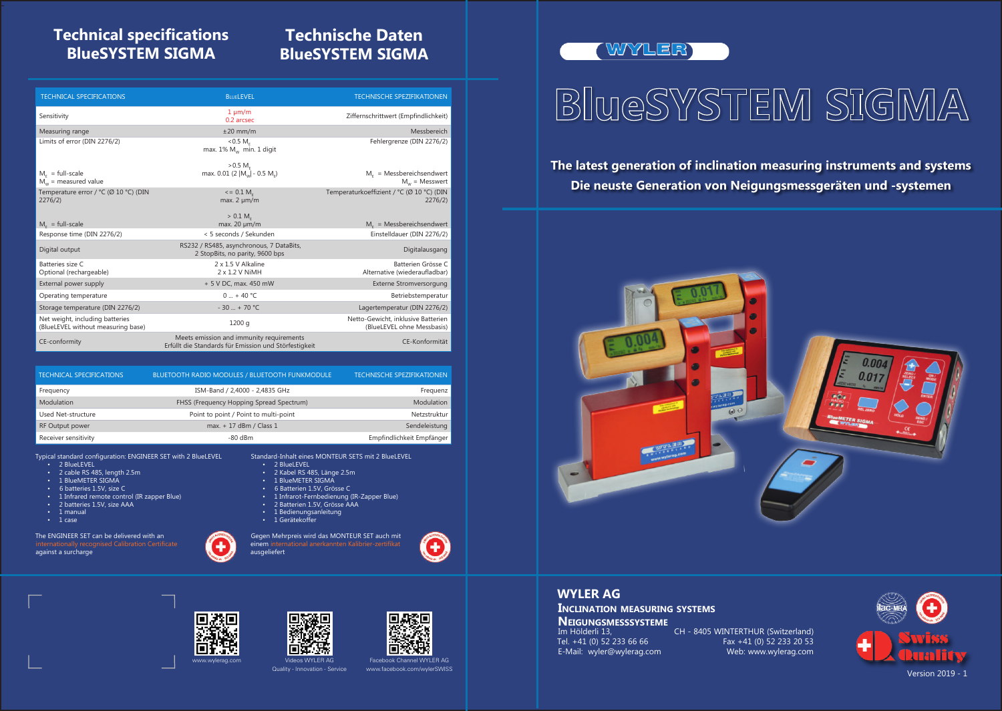-

Im Hölderli 13, CH - 8405 WINTERTHUR (Switzerland) Tel. +41 (0) 52 233 66 66 Fax +41 (0) 52 233 20 53<br>E-Mail: wyler@wylerag.com Web: www.wylerag.com

### **The latest generation of inclination measuring instruments and systems Die neuste Generation von Neigungsmessgeräten und -systemen**

E-Mail: wyler@wylerag.com **Neigungsmesssysteme**

WYLER AG Quality - Innovation - Service

#### **WYLER AG**

**Inclination measuring systems**



WYLER)

# BlueSYSTEM SIGMA





### **Technical specifications BlueSYSTEM SIGMA**

## **Technische Daten BlueSYSTEM SIGMA**

Standard-Inhalt eines MONTEUR SETS mit 2 BlueLEVEL

- 2 BlueLEVEL
- 2 Kabel RS 485, Länge 2.5m
- 1 BlueMETER SIGMA
- 6 Batterien 1.5V, Grösse C
- 1 Infrarot-Fernbedienung (IR-Zapper Blue)
- 2 Batterien 1.5V, Grösse AAA
- 1 Bedienungsanleitung
- 1 Gerätekoffer

Gegen Mehrpreis wird das MONTEUR SET auch mit einem international anerkannten Kalibrier-zertifikat ausgeliefert







Typical standard configuration: ENGINEER SET with 2 BlueLEVEL

- 2 BlueLEVEL
- 2 cable RS 485, length 2.5m
- 1 BlueMETER SIGMA
- 6 batteries 1.5V, size C
- 1 Infrared remote control (IR zapper Blue)
- 2 batteries 1.5V, size AAA
- 1 manual
- 1 case

The ENGINEER SET can be delivered with an against a surcharge

| <b>TECHNICAL SPECIFICATIONS</b> | <b>BLUETOOTH RADIO MODULES / BLUETOOTH FUNKMODULE</b> | <b>TECHNISCHE SPEZIFIKATIONEN</b> |
|---------------------------------|-------------------------------------------------------|-----------------------------------|
| Frequency                       | ISM-Band / 2,4000 - 2,4835 GHz                        | Frequenz                          |
| Modulation                      | FHSS (Frequency Hopping Spread Spectrum)              | Modulation                        |
| Used Net-structure              | Point to point / Point to multi-point                 | Netzstruktur                      |
| RF Output power                 | max. + 17 dBm / Class 1                               | Sendeleistung                     |
| Receiver sensitivity            | $-80$ dBm                                             | Empfindlichkeit Empfänger         |

| <b>TECHNICAL SPECIFICATIONS</b>                                       | <b>BLUELEVEL</b>                                                                                  | <b>TECHNISCHE SPEZIFIKATIONEN</b>                                |
|-----------------------------------------------------------------------|---------------------------------------------------------------------------------------------------|------------------------------------------------------------------|
| Sensitivity                                                           | $1 \mu m/m$<br>0.2 arcsec                                                                         | Ziffernschrittwert (Empfindlichkeit)                             |
| Measuring range                                                       | $±20$ mm/m                                                                                        | Messbereich                                                      |
| Limits of error (DIN 2276/2)                                          | < 0.5 M <sub>r</sub><br>max. $1\%$ M <sub>w</sub> min. 1 digit                                    | Fehlergrenze (DIN 2276/2)                                        |
| $Mr$ = full-scale<br>$M_w$ = measured value                           | $>0.5 M_E$<br>max. 0.01 (2  M <sub>w</sub>   - 0.5 M <sub>e</sub> )                               | $Mr$ = Messbereichsendwert<br>$M_w$ = Messwert                   |
| Temperature error / °C (Ø 10 °C) (DIN<br>2276/2                       | $\epsilon$ = 0.1 M <sub>r</sub><br>$max. 2 \mu m/m$                                               | Temperaturkoeffizient / °C (Ø 10 °C) (DIN<br>2276/2              |
| $Mc$ = full-scale                                                     | $> 0.1 M_c$<br>max. $20 \mu m/m$                                                                  | $MF$ = Messbereichsendwert                                       |
| Response time (DIN 2276/2)                                            | < 5 seconds / Sekunden                                                                            | Einstelldauer (DIN 2276/2)                                       |
| Digital output                                                        | RS232 / RS485, asynchronous, 7 DataBits,<br>2 StopBits, no parity, 9600 bps                       | Digitalausgang                                                   |
| Batteries size C<br>Optional (rechargeable)                           | 2 x 1.5 V Alkaline<br>2 x 1.2 V NiMH                                                              | Batterien Grösse C<br>Alternative (wiederaufladbar)              |
| External power supply                                                 | + 5 V DC, max. 450 mW                                                                             | <b>Externe Stromversorgung</b>                                   |
| Operating temperature                                                 | $0 - + 40$ °C                                                                                     | Betriebstemperatur                                               |
| Storage temperature (DIN 2276/2)                                      | $-30$ + 70 °C                                                                                     | Lagertemperatur (DIN 2276/2)                                     |
| Net weight, including batteries<br>(BlueLEVEL without measuring base) | 1200q                                                                                             | Netto-Gewicht, inklusive Batterien<br>(BlueLEVEL ohne Messbasis) |
| CE-conformity                                                         | Meets emission and immunity requirements<br>Erfüllt die Standards für Emission und Störfestigkeit | CE-Konformität                                                   |